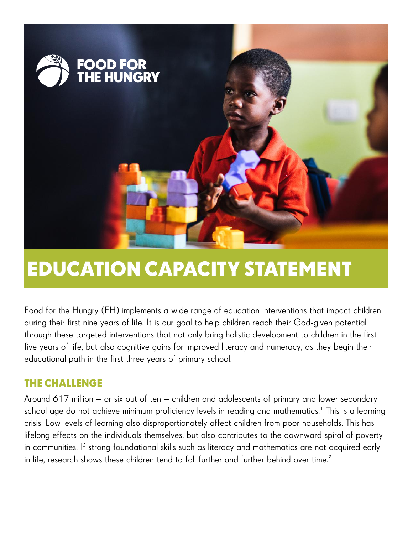

# **EDUCATION CAPACITY STATEMENT**

Food for the Hungry (FH) implements a wide range of education interventions that impact children during their first nine years of life. It is our goal to help children reach their God-given potential through these targeted interventions that not only bring holistic development to children in the first five years of life, but also cognitive gains for improved literacy and numeracy, as they begin their educational path in the first three years of primary school.

## **THE CHALLENGE**

Around 617 million – or six out of ten – children and adolescents of primary and lower secondary school age do not achieve minimum proficiency levels in reading and mathematics. $^{\rm 1}$  This is a learning crisis. Low levels of learning also disproportionately affect children from poor households. This has lifelong effects on the individuals themselves, but also contributes to the downward spiral of poverty in communities. If strong foundational skills such as literacy and mathematics are not acquired early in life, research shows these children tend to fall further and further behind over time.<sup>2</sup>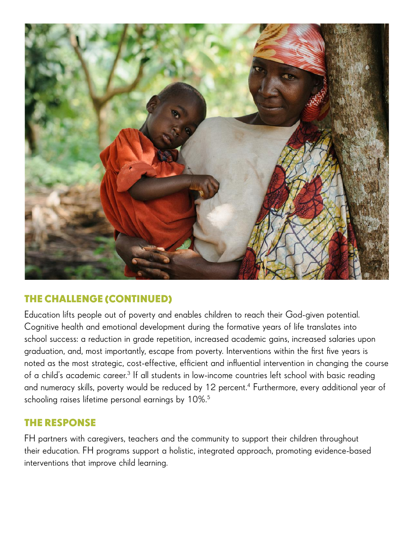

## **THE CHALLENGE (CONTINUED)**

Education lifts people out of poverty and enables children to reach their God-given potential. Cognitive health and emotional development during the formative years of life translates into school success: a reduction in grade repetition, increased academic gains, increased salaries upon graduation, and, most importantly, escape from poverty. Interventions within the first five years is noted as the most strategic, cost-effective, efficient and influential intervention in changing the course of a child's academic career.<sup>3</sup> If all students in low-income countries left school with basic reading and numeracy skills, poverty would be reduced by 12 percent.<sup>4</sup> Furthermore, every additional year of schooling raises lifetime personal earnings by 10%.<sup>5</sup>

## **THE RESPONSE**

FH partners with caregivers, teachers and the community to support their children throughout their education. FH programs support a holistic, integrated approach, promoting evidence-based interventions that improve child learning.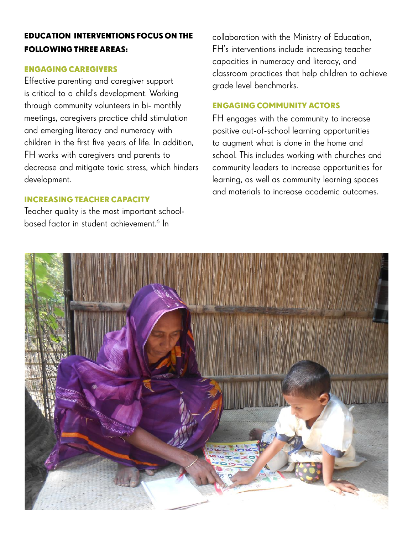### **EDUCATION INTERVENTIONS FOCUS ON THE FOLLOWING THREE AREAS:**

#### **ENGAGING CAREGIVERS**

Effective parenting and caregiver support is critical to a child's development. Working through community volunteers in bi- monthly meetings, caregivers practice child stimulation and emerging literacy and numeracy with children in the first five years of life. In addition, FH works with caregivers and parents to decrease and mitigate toxic stress, which hinders development.

#### **INCREASING TEACHER CAPACITY**

Teacher quality is the most important schoolbased factor in student achievement.<sup>6</sup> In

collaboration with the Ministry of Education, FH's interventions include increasing teacher capacities in numeracy and literacy, and classroom practices that help children to achieve grade level benchmarks.

#### **ENGAGING COMMUNITY ACTORS**

FH engages with the community to increase positive out-of-school learning opportunities to augment what is done in the home and school. This includes working with churches and community leaders to increase opportunities for learning, as well as community learning spaces and materials to increase academic outcomes.

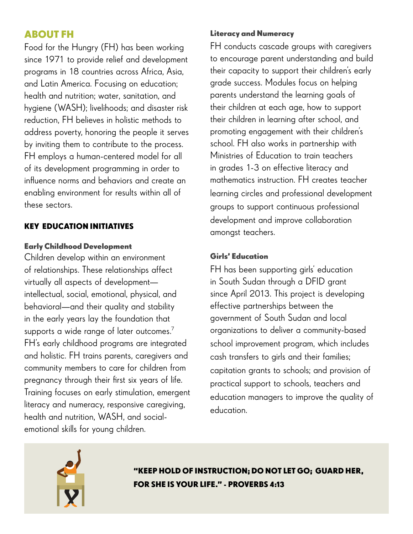## **ABOUT FH**

Food for the Hungry (FH) has been working since 1971 to provide relief and development programs in 18 countries across Africa, Asia, and Latin America. Focusing on education; health and nutrition; water, sanitation, and hygiene (WASH); livelihoods; and disaster risk reduction, FH believes in holistic methods to address poverty, honoring the people it serves by inviting them to contribute to the process. FH employs a human-centered model for all of its development programming in order to influence norms and behaviors and create an enabling environment for results within all of these sectors.

#### **KEY EDUCATION INITIATIVES**

#### **Early Childhood Development**

Children develop within an environment of relationships. These relationships affect virtually all aspects of development intellectual, social, emotional, physical, and behavioral—and their quality and stability in the early years lay the foundation that supports a wide range of later outcomes.<sup>7</sup> FH's early childhood programs are integrated and holistic. FH trains parents, caregivers and community members to care for children from pregnancy through their first six years of life. Training focuses on early stimulation, emergent literacy and numeracy, responsive caregiving, health and nutrition, WASH, and socialemotional skills for young children.

#### **Literacy and Numeracy**

FH conducts cascade groups with caregivers to encourage parent understanding and build their capacity to support their children's early grade success. Modules focus on helping parents understand the learning goals of their children at each age, how to support their children in learning after school, and promoting engagement with their children's school. FH also works in partnership with Ministries of Education to train teachers in grades 1-3 on effective literacy and mathematics instruction. FH creates teacher learning circles and professional development groups to support continuous professional development and improve collaboration amongst teachers.

#### **Girls' Education**

FH has been supporting girls' education in South Sudan through a DFID grant since April 2013. This project is developing effective partnerships between the government of South Sudan and local organizations to deliver a community-based school improvement program, which includes cash transfers to girls and their families; capitation grants to schools; and provision of practical support to schools, teachers and education managers to improve the quality of education.



**"KEEP HOLD OF INSTRUCTION; DO NOT LET GO; GUARD HER, FOR SHE IS YOUR LIFE." - PROVERBS 4:13**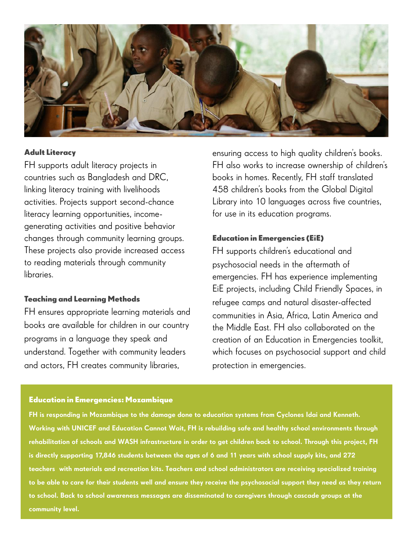

#### **Adult Literacy**

FH supports adult literacy projects in countries such as Bangladesh and DRC, linking literacy training with livelihoods activities. Projects support second-chance literacy learning opportunities, incomegenerating activities and positive behavior changes through community learning groups. These projects also provide increased access to reading materials through community libraries.

#### **Teaching and Learning Methods**

FH ensures appropriate learning materials and books are available for children in our country programs in a language they speak and understand. Together with community leaders and actors, FH creates community libraries,

ensuring access to high quality children's books. FH also works to increase ownership of children's books in homes. Recently, FH staff translated 458 children's books from the Global Digital Library into 10 languages across five countries, for use in its education programs.

#### **Education in Emergencies (EiE)**

FH supports children's educational and psychosocial needs in the aftermath of emergencies. FH has experience implementing EiE projects, including Child Friendly Spaces, in refugee camps and natural disaster-affected communities in Asia, Africa, Latin America and the Middle East. FH also collaborated on the creation of an Education in Emergencies toolkit, which focuses on psychosocial support and child protection in emergencies.

#### **Education in Emergencies: Mozambique**

FH is responding in Mozambique to the damage done to education systems from Cyclones Idai and Kenneth. Working with UNICEF and Education Cannot Wait, FH is rebuilding safe and healthy school environments through rehabilitation of schools and WASH infrastructure in order to get children back to school. Through this project, FH is directly supporting 17,846 students between the ages of 6 and 11 years with school supply kits, and 272 teachers with materials and recreation kits. Teachers and school administrators are receiving specialized training to be able to care for their students well and ensure they receive the psychosocial support they need as they return to school. Back to school awareness messages are disseminated to caregivers through cascade groups at the community level.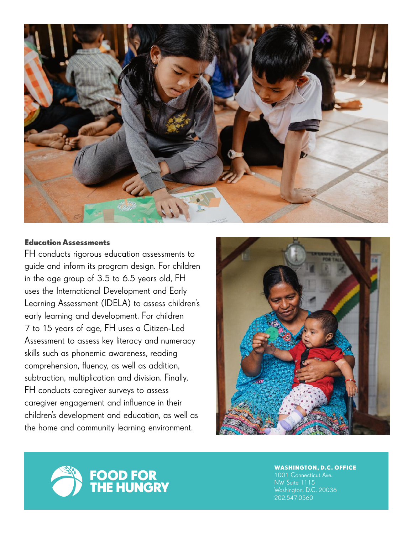

#### **Education Assessments**

FH conducts rigorous education assessments to guide and inform its program design. For children in the age group of 3.5 to 6.5 years old, FH uses the International Development and Early Learning Assessment (IDELA) to assess children's early learning and development. For children 7 to 15 years of age, FH uses a Citizen-Led Assessment to assess key literacy and numeracy skills such as phonemic awareness, reading comprehension, fluency, as well as addition, subtraction, multiplication and division. Finally, FH conducts caregiver surveys to assess caregiver engagement and influence in their children's development and education, as well as the home and community learning environment.





**WASHINGTON, D.C. OFFICE**

1001 Connecticut Ave. NW Suite 1115 Washington, D.C. 20036 202.547.0560